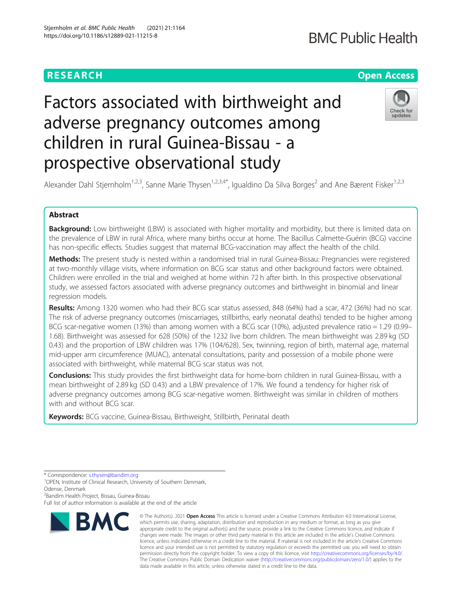# **RESEARCH CHEAR CHEAR CHEAR CHEAR CHEAR CHEAR CHEAR CHEAR CHEAR CHEAR CHEAR CHEAR CHEAR CHEAR CHEAR CHEAR CHEAR**

# Factors associated with birthweight and adverse pregnancy outcomes among children in rural Guinea-Bissau - a prospective observational study



Alexander Dahl Stjernholm<sup>1,2,3</sup>, Sanne Marie Thysen<sup>1,2,3,4\*</sup>, Igualdino Da Silva Borges<sup>2</sup> and Ane Bærent Fisker<sup>1,2,3</sup>

### Abstract

Background: Low birthweight (LBW) is associated with higher mortality and morbidity, but there is limited data on the prevalence of LBW in rural Africa, where many births occur at home. The Bacillus Calmette-Guérin (BCG) vaccine has non-specific effects. Studies suggest that maternal BCG-vaccination may affect the health of the child.

Methods: The present study is nested within a randomised trial in rural Guinea-Bissau: Pregnancies were registered at two-monthly village visits, where information on BCG scar status and other background factors were obtained. Children were enrolled in the trial and weighed at home within 72 h after birth. In this prospective observational study, we assessed factors associated with adverse pregnancy outcomes and birthweight in binomial and linear regression models.

Results: Among 1320 women who had their BCG scar status assessed, 848 (64%) had a scar, 472 (36%) had no scar. The risk of adverse pregnancy outcomes (miscarriages, stillbirths, early neonatal deaths) tended to be higher among BCG scar-negative women (13%) than among women with a BCG scar (10%), adjusted prevalence ratio = 1.29 (0.99– 1.68). Birthweight was assessed for 628 (50%) of the 1232 live born children. The mean birthweight was 2.89 kg (SD 0.43) and the proportion of LBW children was 17% (104/628). Sex, twinning, region of birth, maternal age, maternal mid-upper arm circumference (MUAC), antenatal consultations, parity and possession of a mobile phone were associated with birthweight, while maternal BCG scar status was not.

Conclusions: This study provides the first birthweight data for home-born children in rural Guinea-Bissau, with a mean birthweight of 2.89 kg (SD 0.43) and a LBW prevalence of 17%. We found a tendency for higher risk of adverse pregnancy outcomes among BCG scar-negative women. Birthweight was similar in children of mothers with and without BCG scar.

Keywords: BCG vaccine, Guinea-Bissau, Birthweight, Stillbirth, Perinatal death

<sup>2</sup>Bandim Health Project, Bissau, Guinea-Bissau

Full list of author information is available at the end of the article



<sup>©</sup> The Author(s), 2021 **Open Access** This article is licensed under a Creative Commons Attribution 4.0 International License, which permits use, sharing, adaptation, distribution and reproduction in any medium or format, as long as you give appropriate credit to the original author(s) and the source, provide a link to the Creative Commons licence, and indicate if changes were made. The images or other third party material in this article are included in the article's Creative Commons licence, unless indicated otherwise in a credit line to the material. If material is not included in the article's Creative Commons licence and your intended use is not permitted by statutory regulation or exceeds the permitted use, you will need to obtain permission directly from the copyright holder. To view a copy of this licence, visit [http://creativecommons.org/licenses/by/4.0/.](http://creativecommons.org/licenses/by/4.0/) The Creative Commons Public Domain Dedication waiver [\(http://creativecommons.org/publicdomain/zero/1.0/](http://creativecommons.org/publicdomain/zero/1.0/)) applies to the data made available in this article, unless otherwise stated in a credit line to the data.

<sup>\*</sup> Correspondence: [s.thysen@bandim.org](mailto:s.thysen@bandim.org) <sup>1</sup>

<sup>&</sup>lt;sup>1</sup>OPEN, Institute of Clinical Research, University of Southern Denmark, Odense, Denmark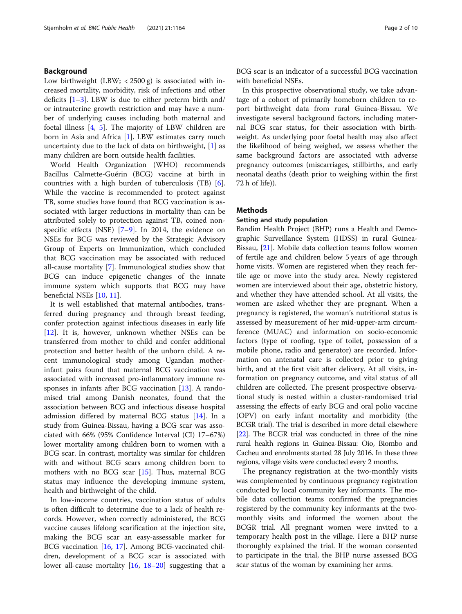#### Background

Low birthweight  $(LBW; < 2500 \text{ g})$  is associated with increased mortality, morbidity, risk of infections and other deficits  $[1-3]$  $[1-3]$  $[1-3]$  $[1-3]$  $[1-3]$ . LBW is due to either preterm birth and/ or intrauterine growth restriction and may have a number of underlying causes including both maternal and foetal illness [\[4](#page-9-0), [5\]](#page-9-0). The majority of LBW children are born in Asia and Africa [[1\]](#page-9-0). LBW estimates carry much uncertainty due to the lack of data on birthweight,  $[1]$  $[1]$  as many children are born outside health facilities.

World Health Organization (WHO) recommends Bacillus Calmette-Guérin (BCG) vaccine at birth in countries with a high burden of tuberculosis (TB) [\[6](#page-9-0)]. While the vaccine is recommended to protect against TB, some studies have found that BCG vaccination is associated with larger reductions in mortality than can be attributed solely to protection against TB, coined nonspecific effects (NSE) [\[7](#page-9-0)–[9](#page-9-0)]. In 2014, the evidence on NSEs for BCG was reviewed by the Strategic Advisory Group of Experts on Immunization, which concluded that BCG vaccination may be associated with reduced all-cause mortality [\[7](#page-9-0)]. Immunological studies show that BCG can induce epigenetic changes of the innate immune system which supports that BCG may have beneficial NSEs [\[10](#page-9-0), [11\]](#page-9-0).

It is well established that maternal antibodies, transferred during pregnancy and through breast feeding, confer protection against infectious diseases in early life [[12\]](#page-9-0). It is, however, unknown whether NSEs can be transferred from mother to child and confer additional protection and better health of the unborn child. A recent immunological study among Ugandan motherinfant pairs found that maternal BCG vaccination was associated with increased pro-inflammatory immune re-sponses in infants after BCG vaccination [[13](#page-9-0)]. A randomised trial among Danish neonates, found that the association between BCG and infectious disease hospital admission differed by maternal BCG status [\[14\]](#page-9-0). In a study from Guinea-Bissau, having a BCG scar was associated with 66% (95% Confidence Interval (CI) 17–67%) lower mortality among children born to women with a BCG scar. In contrast, mortality was similar for children with and without BCG scars among children born to mothers with no BCG scar [[15\]](#page-9-0). Thus, maternal BCG status may influence the developing immune system, health and birthweight of the child.

In low-income countries, vaccination status of adults is often difficult to determine due to a lack of health records. However, when correctly administered, the BCG vaccine causes lifelong scarification at the injection site, making the BCG scar an easy-assessable marker for BCG vaccination [\[16](#page-9-0), [17](#page-9-0)]. Among BCG-vaccinated children, development of a BCG scar is associated with lower all-cause mortality [[16,](#page-9-0) [18](#page-9-0)–[20\]](#page-9-0) suggesting that a

BCG scar is an indicator of a successful BCG vaccination with beneficial NSEs.

In this prospective observational study, we take advantage of a cohort of primarily homeborn children to report birthweight data from rural Guinea-Bissau. We investigate several background factors, including maternal BCG scar status, for their association with birthweight. As underlying poor foetal health may also affect the likelihood of being weighed, we assess whether the same background factors are associated with adverse pregnancy outcomes (miscarriages, stillbirths, and early neonatal deaths (death prior to weighing within the first 72 h of life)).

#### **Methods**

#### Setting and study population

Bandim Health Project (BHP) runs a Health and Demographic Surveillance System (HDSS) in rural Guinea-Bissau, [\[21\]](#page-9-0). Mobile data collection teams follow women of fertile age and children below 5 years of age through home visits. Women are registered when they reach fertile age or move into the study area. Newly registered women are interviewed about their age, obstetric history, and whether they have attended school. At all visits, the women are asked whether they are pregnant. When a pregnancy is registered, the woman's nutritional status is assessed by measurement of her mid-upper-arm circumference (MUAC) and information on socio-economic factors (type of roofing, type of toilet, possession of a mobile phone, radio and generator) are recorded. Information on antenatal care is collected prior to giving birth, and at the first visit after delivery. At all visits, information on pregnancy outcome, and vital status of all children are collected. The present prospective observational study is nested within a cluster-randomised trial assessing the effects of early BCG and oral polio vaccine (OPV) on early infant mortality and morbidity (the BCGR trial). The trial is described in more detail elsewhere [[22](#page-9-0)]. The BCGR trial was conducted in three of the nine rural health regions in Guinea-Bissau: Oio, Biombo and Cacheu and enrolments started 28 July 2016. In these three regions, village visits were conducted every 2 months.

The pregnancy registration at the two-monthly visits was complemented by continuous pregnancy registration conducted by local community key informants. The mobile data collection teams confirmed the pregnancies registered by the community key informants at the twomonthly visits and informed the women about the BCGR trial. All pregnant women were invited to a temporary health post in the village. Here a BHP nurse thoroughly explained the trial. If the woman consented to participate in the trial, the BHP nurse assessed BCG scar status of the woman by examining her arms.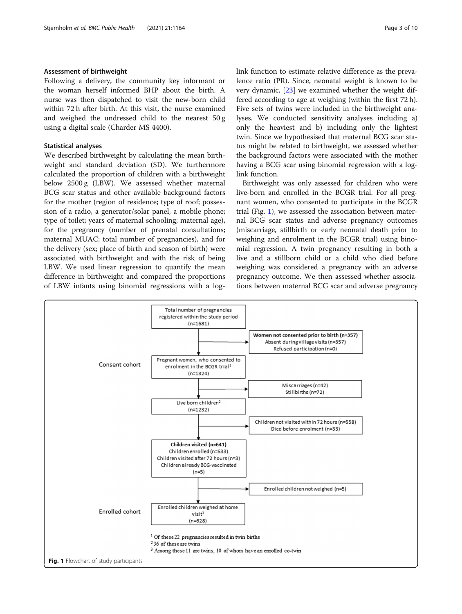#### <span id="page-2-0"></span>Assessment of birthweight

Following a delivery, the community key informant or the woman herself informed BHP about the birth. A nurse was then dispatched to visit the new-born child within 72 h after birth. At this visit, the nurse examined and weighed the undressed child to the nearest 50 g using a digital scale (Charder MS 4400).

#### Statistical analyses

We described birthweight by calculating the mean birthweight and standard deviation (SD). We furthermore calculated the proportion of children with a birthweight below 2500 g (LBW). We assessed whether maternal BCG scar status and other available background factors for the mother (region of residence; type of roof; possession of a radio, a generator/solar panel, a mobile phone; type of toilet; years of maternal schooling; maternal age), for the pregnancy (number of prenatal consultations; maternal MUAC; total number of pregnancies), and for the delivery (sex; place of birth and season of birth) were associated with birthweight and with the risk of being LBW. We used linear regression to quantify the mean difference in birthweight and compared the proportions of LBW infants using binomial regressions with a loglink function to estimate relative difference as the prevalence ratio (PR). Since, neonatal weight is known to be very dynamic, [\[23\]](#page-9-0) we examined whether the weight differed according to age at weighing (within the first 72 h). Five sets of twins were included in the birthweight analyses. We conducted sensitivity analyses including a) only the heaviest and b) including only the lightest twin. Since we hypothesised that maternal BCG scar status might be related to birthweight, we assessed whether the background factors were associated with the mother having a BCG scar using binomial regression with a loglink function.

Birthweight was only assessed for children who were live-born and enrolled in the BCGR trial. For all pregnant women, who consented to participate in the BCGR trial (Fig. 1), we assessed the association between maternal BCG scar status and adverse pregnancy outcomes (miscarriage, stillbirth or early neonatal death prior to weighing and enrolment in the BCGR trial) using binomial regression. A twin pregnancy resulting in both a live and a stillborn child or a child who died before weighing was considered a pregnancy with an adverse pregnancy outcome. We then assessed whether associations between maternal BCG scar and adverse pregnancy

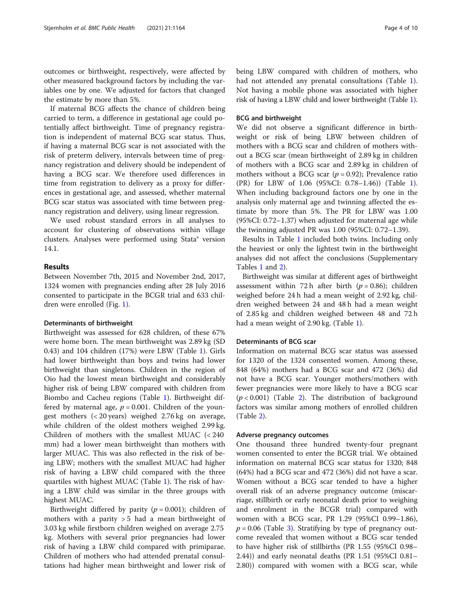outcomes or birthweight, respectively, were affected by other measured background factors by including the variables one by one. We adjusted for factors that changed the estimate by more than 5%.

If maternal BCG affects the chance of children being carried to term, a difference in gestational age could potentially affect birthweight. Time of pregnancy registration is independent of maternal BCG scar status. Thus, if having a maternal BCG scar is not associated with the risk of preterm delivery, intervals between time of pregnancy registration and delivery should be independent of having a BCG scar. We therefore used differences in time from registration to delivery as a proxy for differences in gestational age, and assessed, whether maternal BCG scar status was associated with time between pregnancy registration and delivery, using linear regression.

We used robust standard errors in all analyses to account for clustering of observations within village clusters. Analyses were performed using Stata® version 14.1.

#### Results

Between November 7th, 2015 and November 2nd, 2017, 1324 women with pregnancies ending after 28 July 2016 consented to participate in the BCGR trial and 633 children were enrolled (Fig. [1](#page-2-0)).

#### Determinants of birthweight

Birthweight was assessed for 628 children, of these 67% were home born. The mean birthweight was 2.89 kg (SD 0.43) and 104 children (17%) were LBW (Table [1\)](#page-4-0). Girls had lower birthweight than boys and twins had lower birthweight than singletons. Children in the region of Oio had the lowest mean birthweight and considerably higher risk of being LBW compared with children from Biombo and Cacheu regions (Table [1](#page-4-0)). Birthweight differed by maternal age,  $p = 0.001$ . Children of the youngest mothers (< 20 years) weighed 2.76 kg on average, while children of the oldest mothers weighed 2.99 kg. Children of mothers with the smallest MUAC (< 240 mm) had a lower mean birthweight than mothers with larger MUAC. This was also reflected in the risk of being LBW; mothers with the smallest MUAC had higher risk of having a LBW child compared with the three quartiles with highest MUAC (Table [1\)](#page-4-0). The risk of having a LBW child was similar in the three groups with highest MUAC.

Birthweight differed by parity ( $p = 0.001$ ); children of mothers with a parity  $> 5$  had a mean birthweight of 3.03 kg while firstborn children weighed on average 2.75 kg. Mothers with several prior pregnancies had lower risk of having a LBW child compared with primiparae. Children of mothers who had attended prenatal consultations had higher mean birthweight and lower risk of

being LBW compared with children of mothers, who had not attended any prenatal consultations (Table [1](#page-4-0)). Not having a mobile phone was associated with higher risk of having a LBW child and lower birthweight (Table [1](#page-4-0)).

#### BCG and birthweight

We did not observe a significant difference in birthweight or risk of being LBW between children of mothers with a BCG scar and children of mothers without a BCG scar (mean birthweight of 2.89 kg in children of mothers with a BCG scar and 2.89 kg in children of mothers without a BCG scar ( $p = 0.92$ ); Prevalence ratio (PR) for LBW of 1.06 (95%CI: 0.78–1.46)) (Table [1](#page-4-0)). When including background factors one by one in the analysis only maternal age and twinning affected the estimate by more than 5%. The PR for LBW was 1.00 (95%CI: 0.72–1.37) when adjusted for maternal age while the twinning adjusted PR was 1.00 (95%CI: 0.72–1.39).

Results in Table [1](#page-4-0) included both twins. Including only the heaviest or only the lightest twin in the birthweight analyses did not affect the conclusions (Supplementary Tables [1](#page-8-0) and [2](#page-8-0)).

Birthweight was similar at different ages of birthweight assessment within 72 h after birth ( $p = 0.86$ ); children weighed before 24 h had a mean weight of 2.92 kg, children weighed between 24 and 48 h had a mean weight of 2.85 kg and children weighed between 48 and 72 h had a mean weight of 2.90 kg. (Table [1\)](#page-4-0).

#### Determinants of BCG scar

Information on maternal BCG scar status was assessed for 1320 of the 1324 consented women. Among these, 848 (64%) mothers had a BCG scar and 472 (36%) did not have a BCG scar. Younger mothers/mothers with fewer pregnancies were more likely to have a BCG scar  $(p < 0.001)$  (Table [2\)](#page-6-0). The distribution of background factors was similar among mothers of enrolled children (Table [2\)](#page-6-0).

#### Adverse pregnancy outcomes

One thousand three hundred twenty-four pregnant women consented to enter the BCGR trial. We obtained information on maternal BCG scar status for 1320; 848 (64%) had a BCG scar and 472 (36%) did not have a scar. Women without a BCG scar tended to have a higher overall risk of an adverse pregnancy outcome (miscarriage, stillbirth or early neonatal death prior to weighing and enrolment in the BCGR trial) compared with women with a BCG scar, PR 1.29 (95%CI 0.99–1.86),  $p = 0.06$  (Table [3\)](#page-7-0). Stratifying by type of pregnancy outcome revealed that women without a BCG scar tended to have higher risk of stillbirths (PR 1.55 (95%CI 0.98– 2.44)) and early neonatal deaths (PR 1.51 (95%CI 0.81– 2.80)) compared with women with a BCG scar, while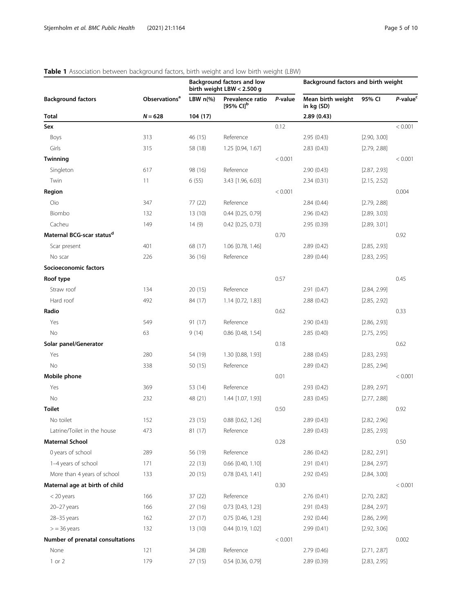Background factors and birth weight

## birth weight LBW < 2.500 g Background factors **Observations<sup>a</sup>** LBW n(%) Prevalence ratio [95% CI] $^{\rm b}$ P-value Mean birth weight in kg (SD) 95% CI P-value<sup>c</sup>  $N = 628$  104 (17) 2.89 (0.43) **Sex**  $0.12$   $< 0.001$ Boys 313 46 (15) Reference 2.95 (0.43) [2.90, 3.00] Girls 315 58 (18) 1.25 [0.94, 1.67] 2.83 (0.43) [2.79, 2.88] 3.5  $\blacksquare$  Twinning the contract of the contract of the contract of the contract of the contract of the contract of the contract of the contract of the contract of the contract of the contract of the contract of the contract Singleton 617 617 98 (16) Reference 2.90 (0.43) [2.87, 2.93] Twin 11 6 (55) 3.43 [1.96, 6.03] 2.34 (0.31) [2.15, 2.52]  $\sim$  0.004  $<$  0.004  $<$  0.004  $<$  0.001  $<$  0.004  $<$  0.004  $<$  0.004  $<$  0.004  $<$  0.004  $<$  0.004  $<$  0.004  $<$  0.004  $<$  0.004  $<$  0.004  $<$  0.004  $<$  0.004  $<$  0.004  $<$  0.004  $<$  0.004  $<$  0.004  $<$  0.004  $<$  0.004 Oio 347 77 (22) Reference 2.84 (0.44) [2.79, 2.88] Biombo 132 13 (10) 0.44 [0.25, 0.79] 2.96 (0.42) [2.89, 3.03] Cacheu 149 14 (9) 0.42 [0.25, 0.73] 2.95 (0.39) [2.89, 3.01] **Maternal BCG-scar status<sup>d</sup>** 0.92 0.92 Scar present 401 68 (17) 1.06 [0.78, 1.46] 2.89 (0.42) [2.85, 2.93] No scar 226 36 (16) Reference 2.89 (0.44) [2.83, 2.95] Socioeconomic factors **Roof type**  $0.45$   $0.45$ Straw roof 134 20 (15) Reference 2.91 (0.47) [2.84, 2.99] Hard roof **492** 492 84 (17) 1.14 [0.72, 1.83] 2.88 (0.42) [2.85, 2.92] **Radio**  $0.33$ Yes 549 91 (17) Reference 2.90 (0.43) [2.86, 2.93] No 63 9 (14) 0.86 [0.48, 1.54] 2.85 (0.40) [2.75, 2.95] Solar panel/Generator 0.62 Yes 280 54 (19) 1.30 [0.88, 1.93] 2.88 (0.45) [2.83, 2.93] No 338 50 (15) Reference 2.89 (0.42) [2.85, 2.94] **Mobile phone**  $\sim$  **0.001**  $\sim$  0.001  $\sim$  0.01  $\sim$  0.01  $\sim$  0.01  $\sim$  0.001  $\sim$ Yes 369 53 (14) Reference 2.93 (0.42) [2.89, 2.97] No 232 48 (21) 1.44 [1.07, 1.93] 2.83 (0.45) [2.77, 2.88]  $\blacksquare$  Toilet  $0.92$ No toilet 152 152 23 (15) 0.88 [0.62, 1.26] 2.89 (0.43) 2.89 (0.43) 2.89 (0.43 Latrine/Toilet in the house 473 81 (17) Reference 2.89 (0.43) [2.85, 2.93] **Maternal School 2008 20:00 20:00 20:00 20:00 20:00 20:00 20:00 20:00 20:00 20:00 20:00 20:00 20:00 20:00 20:00** 0 years of school 289 56 (19) Reference 2.86 (0.42) [2.82, 2.91] 1–4 years of school 171 22 (13) 0.66 [0.40, 1.10] 2.91 (0.41) [2.84, 2.97] More than 4 years of school 133 20 (15) 0.78 [0.43, 1.41] 2.92 (0.45) [2.84, 3.00] Maternal age at birth of child  $0.30$   $0.30$ < 20 years 166 37 (22) Reference 2.76 (0.41) [2.70, 2.82] 20–27 years 166 27 (16) 0.73 [0.43, 1.23] 2.91 (0.43) [2.84, 2.97] 28–35 years 162 27 (17) 0.75 [0.46, 1.23] 2.92 (0.44) [2.86, 2.99]

> = 36 years 132 13 (10) 0.44 [0.19, 1.02] 2.99 (0.41) [2.92, 3.06] Number of prenatal consultations and the consultations of the consultations of the consultations of the consultations of the consultation of the consultations of the consultations of the consultations of the consultations None 121 121 34 (28) Reference 2.79 (0.46) [2.71, 2.87] 1 or 2 179 27 (15) 0.54 [0.36, 0.79] 2.89 (0.39) [2.83, 2.95]

Background factors and low

#### <span id="page-4-0"></span>Table 1 Association between background factors, birth weight and low birth weight (LBW)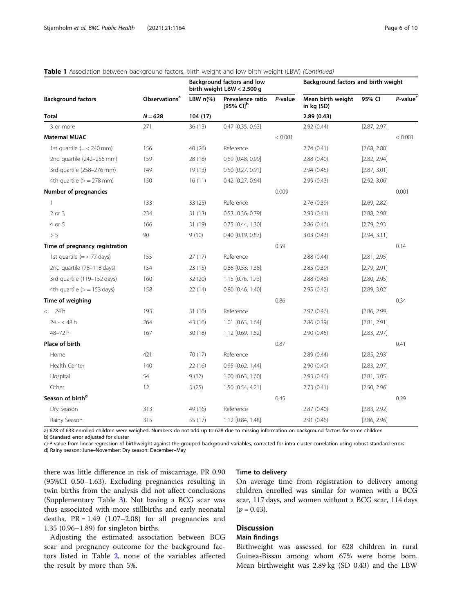| <b>Background factors</b>                         | <b>Observations<sup>a</sup></b> | Background factors and low<br>birth weight LBW < 2.500 g |                                           |         | Background factors and birth weight |              |                      |
|---------------------------------------------------|---------------------------------|----------------------------------------------------------|-------------------------------------------|---------|-------------------------------------|--------------|----------------------|
|                                                   |                                 | LBW $n\frac{9}{6}$                                       | Prevalence ratio<br>[95% CI] <sup>b</sup> | P-value | Mean birth weight<br>in kg (SD)     | 95% CI       | P-value <sup>c</sup> |
| <b>Total</b>                                      | $N = 628$                       | 104(17)                                                  |                                           |         | 2.89(0.43)                          |              |                      |
| 3 or more                                         | 271                             | 36 (13)                                                  | $0.47$ [0.35, 0.63]                       |         | 2.92(0.44)                          | [2.87, 2.97] |                      |
| <b>Maternal MUAC</b>                              |                                 |                                                          |                                           | < 0.001 |                                     |              | < 0.001              |
| 1st quartile $(=$ < 240 mm)                       | 156                             | 40 (26)                                                  | Reference                                 |         | 2.74(0.41)                          | [2.68, 2.80] |                      |
| 2nd quartile (242-256 mm)                         | 159                             | 28 (18)                                                  | 0.69 [0.48, 0.99]                         |         | 2.88 (0.40)                         | [2.82, 2.94] |                      |
| 3rd quartile (258-276 mm)                         | 149                             | 19 (13)                                                  | $0.50$ [0.27, 0.91]                       |         | 2.94(0.45)                          | [2.87, 3.01] |                      |
| 4th quartile $(>= 278$ mm)                        | 150                             | 16(11)                                                   | $0.42$ [0.27, 0.64]                       |         | 2.99(0.43)                          | [2.92, 3.06] |                      |
| Number of pregnancies                             |                                 |                                                          |                                           | 0.009   |                                     |              | 0.001                |
| $\mathbf{1}$                                      | 133                             | 33(25)                                                   | Reference                                 |         | 2.76 (0.39)                         | [2.69, 2.82] |                      |
| $2$ or $3$                                        | 234                             | 31(13)                                                   | 0.53 [0.36, 0.79]                         |         | 2.93(0.41)                          | [2.88, 2.98] |                      |
| 4 or 5                                            | 166                             | 31 (19)                                                  | 0.75 [0.44, 1.30]                         |         | 2.86(0.46)                          | [2.79, 2.93] |                      |
| > 5                                               | 90                              | 9(10)                                                    | 0.40 [0.19, 0.87]                         |         | 3.03(0.43)                          | [2.94, 3.11] |                      |
| Time of pregnancy registration                    |                                 |                                                          |                                           | 0.59    |                                     |              | 0.14                 |
| 1st quartile $(=\langle 77 \text{ days} \rangle)$ | 155                             | 27(17)                                                   | Reference                                 |         | 2.88 (0.44)                         | [2.81, 2.95] |                      |
| 2nd quartile (78-118 days)                        | 154                             | 23(15)                                                   | $0.86$ [0.53, 1.38]                       |         | 2.85(0.39)                          | [2.79, 2.91] |                      |
| 3rd quartile (119-152 days)                       | 160                             | 32(20)                                                   | 1.15 [0.76, 1.73]                         |         | 2.88 (0.46)                         | [2.80, 2.95] |                      |
| 4th quartile $(>= 153 \text{ days})$              | 158                             | 22 (14)                                                  | $0.80$ $[0.46, 1.40]$                     |         | 2.95(0.42)                          | [2.89, 3.02] |                      |
| Time of weighing                                  |                                 |                                                          |                                           | 0.86    |                                     |              | 0.34                 |
| < 24h                                             | 193                             | 31(16)                                                   | Reference                                 |         | 2.92(0.46)                          | [2.86, 2.99] |                      |
| $24 - 48h$                                        | 264                             | 43 (16)                                                  | 1.01 [0.63, 1.64]                         |         | 2.86 (0.39)                         | [2.81, 2.91] |                      |
| 48-72h                                            | 167                             | 30 (18)                                                  | 1.12 [0.69, 1.82]                         |         | 2.90(0.45)                          | [2.83, 2.97] |                      |
| Place of birth                                    |                                 |                                                          |                                           | 0.87    |                                     |              | 0.41                 |
| Home                                              | 421                             | 70 (17)                                                  | Reference                                 |         | 2.89(0.44)                          | [2.85, 2.93] |                      |
| Health Center                                     | 140                             | 22 (16)                                                  | $0.95$ $[0.62, 1.44]$                     |         | 2.90 (0.40)                         | [2.83, 2.97] |                      |
| Hospital                                          | 54                              | 9(17)                                                    | 1.00 [0.63, 1.60]                         |         | 2.93(0.46)                          | [2.81, 3.05] |                      |
| Other                                             | 12                              | 3(25)                                                    | 1.50 [0.54, 4.21]                         |         | 2.73(0.41)                          | [2.50, 2.96] |                      |
| Season of birth <sup>d</sup>                      |                                 |                                                          |                                           | 0.45    |                                     |              | 0.29                 |
| Dry Season                                        | 313                             | 49 (16)                                                  | Reference                                 |         | 2.87(0.40)                          | [2.83, 2.92] |                      |
| Rainy Season                                      | 315                             | 55 (17)                                                  | 1.12 [0.84, 1.48]                         |         | 2.91 (0.46)                         | [2.86, 2.96] |                      |

#### Table 1 Association between background factors, birth weight and low birth weight (LBW) (Continued)

a) 628 of 633 enrolled children were weighed. Numbers do not add up to 628 due to missing information on background factors for some children b) Standard error adjusted for cluster

c) P-value from linear regression of birthweight against the grouped background variables, corrected for intra-cluster correlation using robust standard errors d) Rainy season: June–November; Dry season: December–May

there was little difference in risk of miscarriage, PR 0.90 (95%CI 0.50–1.63). Excluding pregnancies resulting in twin births from the analysis did not affect conclusions (Supplementary Table [3\)](#page-8-0). Not having a BCG scar was thus associated with more stillbirths and early neonatal deaths,  $PR = 1.49$  (1.07-2.08) for all pregnancies and 1.35 (0.96–1.89) for singleton births.

Adjusting the estimated association between BCG scar and pregnancy outcome for the background factors listed in Table [2](#page-6-0), none of the variables affected the result by more than 5%.

#### Time to delivery

On average time from registration to delivery among children enrolled was similar for women with a BCG scar, 117 days, and women without a BCG scar, 114 days  $(p = 0.43)$ .

#### **Discussion**

#### Main findings

Birthweight was assessed for 628 children in rural Guinea-Bissau among whom 67% were home born. Mean birthweight was 2.89 kg (SD 0.43) and the LBW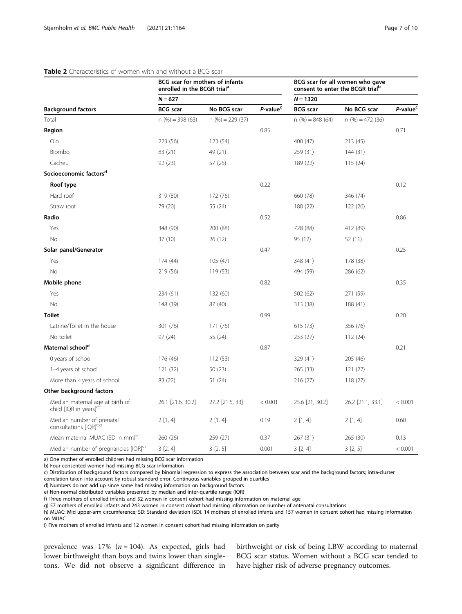#### <span id="page-6-0"></span>Table 2 Characteristics of women with and without a BCG scar

|                                                                        | BCG scar for mothers of infants<br>enrolled in the BCGR trial <sup>a</sup> |                    |                      | BCG scar for all women who gave<br>consent to enter the BCGR trial <sup>p</sup><br>$N = 1320$ |                    |                      |
|------------------------------------------------------------------------|----------------------------------------------------------------------------|--------------------|----------------------|-----------------------------------------------------------------------------------------------|--------------------|----------------------|
|                                                                        | $N = 627$                                                                  |                    |                      |                                                                                               |                    |                      |
| <b>Background factors</b>                                              | <b>BCG</b> scar                                                            | No BCG scar        | P-value <sup>c</sup> | <b>BCG</b> scar                                                                               | No BCG scar        | P-value <sup>c</sup> |
| Total                                                                  | $n$ (%) = 398 (63)                                                         | $n$ (%) = 229 (37) |                      | $n$ (%) = 848 (64)                                                                            | $n$ (%) = 472 (36) |                      |
| Region                                                                 |                                                                            |                    | 0.85                 |                                                                                               |                    | 0.71                 |
| Oio                                                                    | 223 (56)                                                                   | 123 (54)           |                      | 400 (47)                                                                                      | 213 (45)           |                      |
| Biombo                                                                 | 83 (21)                                                                    | 49 (21)            |                      | 259 (31)                                                                                      | 144 (31)           |                      |
| Cacheu                                                                 | 92 (23)                                                                    | 57 (25)            |                      | 189 (22)                                                                                      | 115(24)            |                      |
| Socioeconomic factors <sup>d</sup>                                     |                                                                            |                    |                      |                                                                                               |                    |                      |
| Roof type                                                              |                                                                            |                    | 0.22                 |                                                                                               |                    | 0.12                 |
| Hard roof                                                              | 319 (80)                                                                   | 172 (76)           |                      | 660 (78)                                                                                      | 346 (74)           |                      |
| Straw roof                                                             | 79 (20)                                                                    | 55 (24)            |                      | 188 (22)                                                                                      | 122 (26)           |                      |
| Radio                                                                  |                                                                            |                    | 0.52                 |                                                                                               |                    | 0.86                 |
| Yes                                                                    | 348 (90)                                                                   | 200 (88)           |                      | 728 (88)                                                                                      | 412 (89)           |                      |
| No                                                                     | 37 (10)                                                                    | 26(12)             |                      | 95 (12)                                                                                       | 52 (11)            |                      |
| Solar panel/Generator                                                  |                                                                            |                    | 0.47                 |                                                                                               |                    | 0.25                 |
| Yes                                                                    | 174 (44)                                                                   | 105(47)            |                      | 348 (41)                                                                                      | 178 (38)           |                      |
| No                                                                     | 219 (56)                                                                   | 119(53)            |                      | 494 (59)                                                                                      | 286 (62)           |                      |
| Mobile phone                                                           |                                                                            |                    | 0.82                 |                                                                                               |                    | 0.35                 |
| Yes                                                                    | 234 (61)                                                                   | 132 (60)           |                      | 502 (62)                                                                                      | 271 (59)           |                      |
| <b>No</b>                                                              | 148 (39)                                                                   | 87 (40)            |                      | 313 (38)                                                                                      | 188 (41)           |                      |
| <b>Toilet</b>                                                          |                                                                            |                    | 0.99                 |                                                                                               |                    | 0.20                 |
| Latrine/Toilet in the house                                            | 301 (76)                                                                   | 171 (76)           |                      | 615 (73)                                                                                      | 356 (76)           |                      |
| No toilet                                                              | 97 (24)                                                                    | 55 (24)            |                      | 233 (27)                                                                                      | 112(24)            |                      |
| Maternal school <sup>d</sup>                                           |                                                                            |                    | 0.87                 |                                                                                               |                    | 0.21                 |
| 0 years of school                                                      | 176 (46)                                                                   | 112(53)            |                      | 329 (41)                                                                                      | 205 (46)           |                      |
| 1-4 years of school                                                    | 121 (32)                                                                   | 50(23)             |                      | 265 (33)                                                                                      | 121(27)            |                      |
| More than 4 years of school                                            | 83 (22)                                                                    | 51 (24)            |                      | 216 (27)                                                                                      | 118(27)            |                      |
| Other background factors                                               |                                                                            |                    |                      |                                                                                               |                    |                      |
| Median maternal age at birth of<br>child [IQR in years] <sup>e,f</sup> | 26.1 [21.6, 30.2]                                                          | 27.2 [21.5, 33]    | < 0.001              | 25.6 [21, 30.2]                                                                               | 26.2 [21.1, 33.1]  | < 0.001              |
| Median number of prenatal<br>consultations [IQR] <sup>e,g</sup>        | 2[1, 4]                                                                    | 2[1, 4]            | 0.19                 | 2[1, 4]                                                                                       | 2[1, 4]            | 0.60                 |
| Mean maternal MUAC (SD in mm) <sup>n</sup>                             | 260 (26)                                                                   | 259 (27)           | 0.37                 | 267 (31)                                                                                      | 265 (30)           | 0.13                 |
| Median number of pregnancies [IQR] <sup>e,i</sup>                      | 3[2, 4]                                                                    | 3[2, 5]            | 0.001                | 3[2, 4]                                                                                       | 3[2, 5]            | < 0.001              |

a) One mother of enrolled children had missing BCG scar information

b) Four consented women had missing BCG scar information

c) Distribution of background factors compared by binomial regression to express the association between scar and the background factors; intra-cluster

correlation taken into account by robust standard error. Continuous variables grouped in quartiles

d) Numbers do not add up since some had missing information on background factors

e) Non-normal distributed variables presented by median and inter-quartile range (IQR)

f) Three mothers of enrolled infants and 52 women in consent cohort had missing information on maternal age

g) 57 mothers of enrolled infants and 243 women in consent cohort had missing information on number of antenatal consultations

h) MUAC: Mid upper-arm circumference; SD: Standard deviation (SD). 14 mothers of enrolled infants and 157 women in consent cohort had missing information on MUAC

i) Five mothers of enrolled infants and 12 women in consent cohort had missing information on parity

prevalence was  $17\%$  ( $n = 104$ ). As expected, girls had lower birthweight than boys and twins lower than singletons. We did not observe a significant difference in birthweight or risk of being LBW according to maternal BCG scar status. Women without a BCG scar tended to have higher risk of adverse pregnancy outcomes.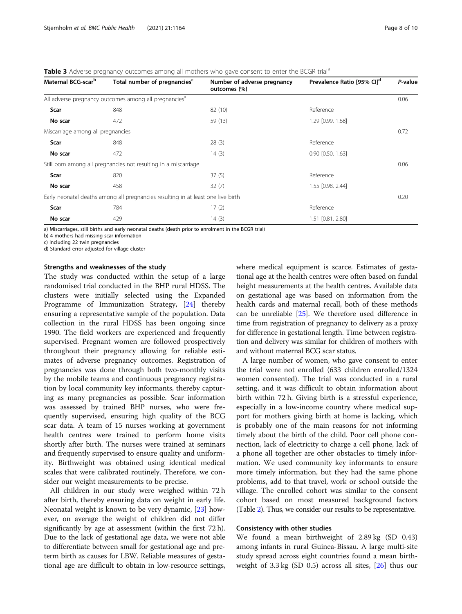#### <span id="page-7-0"></span>**Table 3** Adverse pregnancy outcomes among all mothers who gave consent to enter the BCGR trial<sup>a</sup>

| Maternal BCG-scar <sup>b</sup>                                                   | Total number of pregnancies <sup>c</sup>                          | Number of adverse pregnancy<br>outcomes (%) | Prevalence Ratio [95% CI] <sup>d</sup> | P-value |  |
|----------------------------------------------------------------------------------|-------------------------------------------------------------------|---------------------------------------------|----------------------------------------|---------|--|
|                                                                                  | All adverse pregnancy outcomes among all pregnancies <sup>a</sup> |                                             |                                        | 0.06    |  |
| Scar                                                                             | 848                                                               | 82 (10)                                     | Reference                              |         |  |
| No scar                                                                          | 472                                                               | 59 (13)                                     | 1.29 [0.99, 1.68]                      |         |  |
| Miscarriage among all pregnancies                                                |                                                                   |                                             |                                        | 0.72    |  |
| Scar                                                                             | 848                                                               | 28(3)                                       | Reference                              |         |  |
| No scar                                                                          | 472                                                               | 14(3)                                       | $0.90$ $[0.50, 1.63]$                  |         |  |
|                                                                                  | Still born among all pregnancies not resulting in a miscarriage   |                                             |                                        | 0.06    |  |
| Scar                                                                             | 820                                                               | 37(5)                                       | Reference                              |         |  |
| No scar                                                                          | 458                                                               | 32(7)                                       | 1.55 [0.98, 2.44]                      |         |  |
| Early neonatal deaths among all pregnancies resulting in at least one live birth |                                                                   |                                             |                                        |         |  |
| Scar                                                                             | 784                                                               | 17(2)                                       | Reference                              |         |  |
| No scar                                                                          | 429                                                               | 14(3)                                       | 1.51 [0.81, 2.80]                      |         |  |

a) Miscarriages, still births and early neonatal deaths (death prior to enrolment in the BCGR trial)

b) 4 mothers had missing scar information

c) Including 22 twin pregnancies

d) Standard error adjusted for village cluster

#### Strengths and weaknesses of the study

The study was conducted within the setup of a large randomised trial conducted in the BHP rural HDSS. The clusters were initially selected using the Expanded Programme of Immunization Strategy, [\[24](#page-9-0)] thereby ensuring a representative sample of the population. Data collection in the rural HDSS has been ongoing since 1990. The field workers are experienced and frequently supervised. Pregnant women are followed prospectively throughout their pregnancy allowing for reliable estimates of adverse pregnancy outcomes. Registration of pregnancies was done through both two-monthly visits by the mobile teams and continuous pregnancy registration by local community key informants, thereby capturing as many pregnancies as possible. Scar information was assessed by trained BHP nurses, who were frequently supervised, ensuring high quality of the BCG scar data. A team of 15 nurses working at government health centres were trained to perform home visits shortly after birth. The nurses were trained at seminars and frequently supervised to ensure quality and uniformity. Birthweight was obtained using identical medical scales that were calibrated routinely. Therefore, we consider our weight measurements to be precise.

All children in our study were weighed within 72 h after birth, thereby ensuring data on weight in early life. Neonatal weight is known to be very dynamic, [[23](#page-9-0)] however, on average the weight of children did not differ significantly by age at assessment (within the first 72 h). Due to the lack of gestational age data, we were not able to differentiate between small for gestational age and preterm birth as causes for LBW. Reliable measures of gestational age are difficult to obtain in low-resource settings, where medical equipment is scarce. Estimates of gestational age at the health centres were often based on fundal height measurements at the health centres. Available data on gestational age was based on information from the health cards and maternal recall, both of these methods can be unreliable [[25](#page-9-0)]. We therefore used difference in time from registration of pregnancy to delivery as a proxy for difference in gestational length. Time between registration and delivery was similar for children of mothers with and without maternal BCG scar status.

A large number of women, who gave consent to enter the trial were not enrolled (633 children enrolled/1324 women consented). The trial was conducted in a rural setting, and it was difficult to obtain information about birth within 72 h. Giving birth is a stressful experience, especially in a low-income country where medical support for mothers giving birth at home is lacking, which is probably one of the main reasons for not informing timely about the birth of the child. Poor cell phone connection, lack of electricity to charge a cell phone, lack of a phone all together are other obstacles to timely information. We used community key informants to ensure more timely information, but they had the same phone problems, add to that travel, work or school outside the village. The enrolled cohort was similar to the consent cohort based on most measured background factors (Table [2](#page-6-0)). Thus, we consider our results to be representative.

#### Consistency with other studies

We found a mean birthweight of 2.89 kg (SD 0.43) among infants in rural Guinea-Bissau. A large multi-site study spread across eight countries found a mean birthweight of  $3.3 \text{ kg}$  (SD 0.5) across all sites,  $[26]$  $[26]$  thus our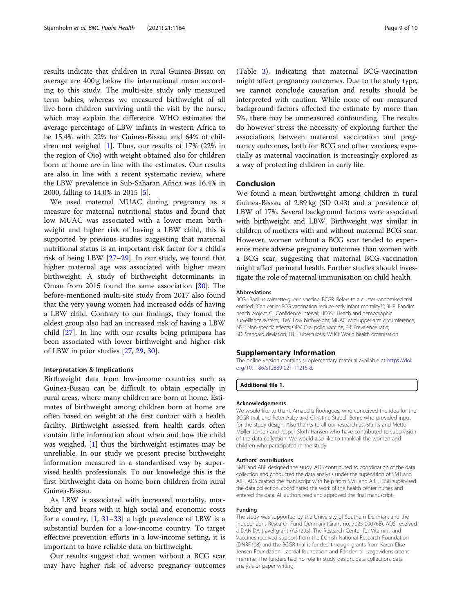<span id="page-8-0"></span>results indicate that children in rural Guinea-Bissau on average are 400 g below the international mean according to this study. The multi-site study only measured term babies, whereas we measured birthweight of all live-born children surviving until the visit by the nurse, which may explain the difference. WHO estimates the average percentage of LBW infants in western Africa to be 15.4% with 22% for Guinea-Bissau and 64% of children not weighed [\[1](#page-9-0)]. Thus, our results of 17% (22% in the region of Oio) with weight obtained also for children born at home are in line with the estimates. Our results are also in line with a recent systematic review, where the LBW prevalence in Sub-Saharan Africa was 16.4% in 2000, falling to 14.0% in 2015 [[5\]](#page-9-0).

We used maternal MUAC during pregnancy as a measure for maternal nutritional status and found that low MUAC was associated with a lower mean birthweight and higher risk of having a LBW child, this is supported by previous studies suggesting that maternal nutritional status is an important risk factor for a child's risk of being LBW [\[27](#page-9-0)–[29\]](#page-9-0). In our study, we found that higher maternal age was associated with higher mean birthweight. A study of birthweight determinants in Oman from 2015 found the same association [\[30\]](#page-9-0). The before-mentioned multi-site study from 2017 also found that the very young women had increased odds of having a LBW child. Contrary to our findings, they found the oldest group also had an increased risk of having a LBW child [\[27\]](#page-9-0). In line with our results being primipara has been associated with lower birthweight and higher risk of LBW in prior studies [\[27](#page-9-0), [29,](#page-9-0) [30\]](#page-9-0).

#### Interpretation & Implications

Birthweight data from low-income countries such as Guinea-Bissau can be difficult to obtain especially in rural areas, where many children are born at home. Estimates of birthweight among children born at home are often based on weight at the first contact with a health facility. Birthweight assessed from health cards often contain little information about when and how the child was weighed, [\[1\]](#page-9-0) thus the birthweight estimates may be unreliable. In our study we present precise birthweight information measured in a standardised way by supervised health professionals. To our knowledge this is the first birthweight data on home-born children from rural Guinea-Bissau.

As LBW is associated with increased mortality, morbidity and bears with it high social and economic costs for a country,  $[1, 31-33]$  $[1, 31-33]$  $[1, 31-33]$  $[1, 31-33]$  $[1, 31-33]$  a high prevalence of LBW is a substantial burden for a low-income country. To target effective prevention efforts in a low-income setting, it is important to have reliable data on birthweight.

Our results suggest that women without a BCG scar may have higher risk of adverse pregnancy outcomes (Table [3\)](#page-7-0), indicating that maternal BCG-vaccination might affect pregnancy outcomes. Due to the study type, we cannot conclude causation and results should be interpreted with caution. While none of our measured background factors affected the estimate by more than 5%, there may be unmeasured confounding. The results do however stress the necessity of exploring further the associations between maternal vaccination and pregnancy outcomes, both for BCG and other vaccines, especially as maternal vaccination is increasingly explored as a way of protecting children in early life.

#### Conclusion

We found a mean birthweight among children in rural Guinea-Bissau of 2.89 kg (SD 0.43) and a prevalence of LBW of 17%. Several background factors were associated with birthweight and LBW. Birthweight was similar in children of mothers with and without maternal BCG scar. However, women without a BCG scar tended to experience more adverse pregnancy outcomes than women with a BCG scar, suggesting that maternal BCG-vaccination might affect perinatal health. Further studies should investigate the role of maternal immunisation on child health.

#### Abbreviations

BCG : Bacillus calmette-guérin vaccine; BCGR: Refers to a cluster-randomised trial entitled: "Can earlier BCG vaccination reduce early infant mortality?"; BHP: Bandim health project; CI: Confidence interval; HDSS : Health and demographic surveillance system; LBW: Low birthweight; MUAC: Mid-upper-arm circumference; NSE: Non-specific effects; OPV: Oral polio vaccine; PR: Prevalence ratio; SD: Standard deviation; TB : Tuberculosis; WHO: World health organisation

#### Supplementary Information

The online version contains supplementary material available at [https://doi.](https://doi.org/10.1186/s12889-021-11215-8) [org/10.1186/s12889-021-11215-8.](https://doi.org/10.1186/s12889-021-11215-8)

#### Additional file 1.

#### Acknowledgements

We would like to thank Amabelia Rodrigues, who conceived the idea for the BCGR trial, and Peter Aaby and Christine Stabell Benn, who provided input for the study design. Also thanks to all our research assistants and Mette Møller Jensen and Jesper Sloth Hansen who have contributed to supervision of the data collection. We would also like to thank all the women and children who participated in the study.

#### Authors' contributions

SMT and ABF designed the study. ADS contributed to coordination of the data collection and conducted the data analysis under the supervision of SMT and ABF. ADS drafted the manuscript with help from SMT and ABF. IDSB supervised the data collection, coordinated the work of the health center nurses and entered the data. All authors read and approved the final manuscript.

#### Funding

The study was supported by the University of Southern Denmark and the Independent Research Fund Denmark (Grant no. 7025-00076B). ADS received a DANIDA travel grant (A31295). The Research Center for Vitamins and Vaccines received support from the Danish National Research Foundation (DNRF108) and the BCGR trial is funded through grants from Karen Elise Jensen Foundation, Laerdal foundation and Fonden til Lægevidenskabens Fremme. The funders had no role in study design, data collection, data analysis or paper writing.